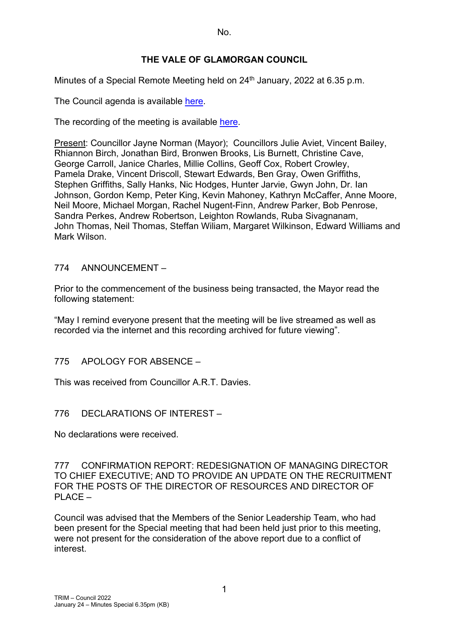No.

## **THE VALE OF GLAMORGAN COUNCIL**

Minutes of a Special Remote Meeting held on 24<sup>th</sup> January, 2022 at 6.35 p.m.

The Council agenda is available [here.](https://www.valeofglamorgan.gov.uk/en/our_council/Council-Structure/minutes,_agendas_and_reports/agendas/council/2022/22-01-24-6.35.aspx)

The recording of the meeting is available [here.](https://www.youtube.com/watch?v=Dq4YnmR_hHQ&list=PLzt4i14pgqIFIu5GcsMs1g6b5IUR90m5d&index=1&t=2613s)

Present: Councillor Jayne Norman (Mayor); Councillors Julie Aviet, Vincent Bailey, Rhiannon Birch, Jonathan Bird, Bronwen Brooks, Lis Burnett, Christine Cave, George Carroll, Janice Charles, Millie Collins, Geoff Cox, Robert Crowley, Pamela Drake, Vincent Driscoll, Stewart Edwards, Ben Gray, Owen Griffiths, Stephen Griffiths, Sally Hanks, Nic Hodges, Hunter Jarvie, Gwyn John, Dr. Ian Johnson, Gordon Kemp, Peter King, Kevin Mahoney, Kathryn McCaffer, Anne Moore, Neil Moore, Michael Morgan, Rachel Nugent-Finn, Andrew Parker, Bob Penrose, Sandra Perkes, Andrew Robertson, Leighton Rowlands, Ruba Sivagnanam, John Thomas, Neil Thomas, Steffan Wiliam, Margaret Wilkinson, Edward Williams and Mark Wilson.

### 774 ANNOUNCEMENT –

Prior to the commencement of the business being transacted, the Mayor read the following statement:

"May I remind everyone present that the meeting will be live streamed as well as recorded via the internet and this recording archived for future viewing".

# 775 APOLOGY FOR ABSENCE –

This was received from Councillor A.R.T. Davies.

# 776 DECLARATIONS OF INTEREST –

No declarations were received.

777 CONFIRMATION REPORT: REDESIGNATION OF MANAGING DIRECTOR TO CHIEF EXECUTIVE; AND TO PROVIDE AN UPDATE ON THE RECRUITMENT FOR THE POSTS OF THE DIRECTOR OF RESOURCES AND DIRECTOR OF  $PI$  ACF  $-$ 

Council was advised that the Members of the Senior Leadership Team, who had been present for the Special meeting that had been held just prior to this meeting, were not present for the consideration of the above report due to a conflict of interest.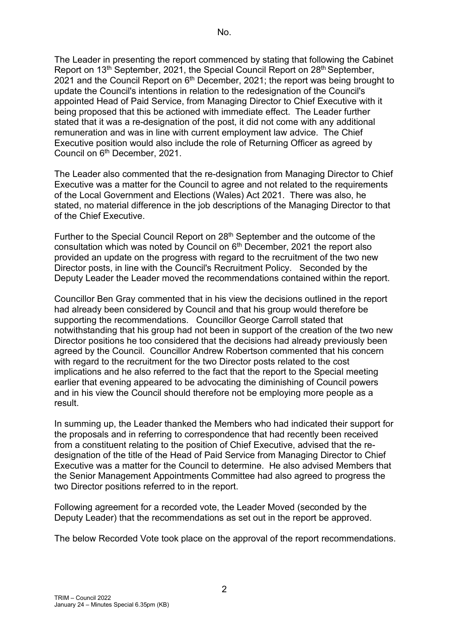The Leader in presenting the report commenced by stating that following the Cabinet Report on 13<sup>th</sup> September, 2021, the Special Council Report on 28<sup>th</sup> September, 2021 and the Council Report on  $6<sup>th</sup>$  December, 2021; the report was being brought to update the Council's intentions in relation to the redesignation of the Council's appointed Head of Paid Service, from Managing Director to Chief Executive with it being proposed that this be actioned with immediate effect. The Leader further stated that it was a re-designation of the post, it did not come with any additional remuneration and was in line with current employment law advice. The Chief Executive position would also include the role of Returning Officer as agreed by Council on 6<sup>th</sup> December, 2021.

The Leader also commented that the re-designation from Managing Director to Chief Executive was a matter for the Council to agree and not related to the requirements of the Local Government and Elections (Wales) Act 2021. There was also, he stated, no material difference in the job descriptions of the Managing Director to that of the Chief Executive.

Further to the Special Council Report on 28<sup>th</sup> September and the outcome of the consultation which was noted by Council on  $6<sup>th</sup>$  December, 2021 the report also provided an update on the progress with regard to the recruitment of the two new Director posts, in line with the Council's Recruitment Policy. Seconded by the Deputy Leader the Leader moved the recommendations contained within the report.

Councillor Ben Gray commented that in his view the decisions outlined in the report had already been considered by Council and that his group would therefore be supporting the recommendations. Councillor George Carroll stated that notwithstanding that his group had not been in support of the creation of the two new Director positions he too considered that the decisions had already previously been agreed by the Council. Councillor Andrew Robertson commented that his concern with regard to the recruitment for the two Director posts related to the cost implications and he also referred to the fact that the report to the Special meeting earlier that evening appeared to be advocating the diminishing of Council powers and in his view the Council should therefore not be employing more people as a result.

In summing up, the Leader thanked the Members who had indicated their support for the proposals and in referring to correspondence that had recently been received from a constituent relating to the position of Chief Executive, advised that the redesignation of the title of the Head of Paid Service from Managing Director to Chief Executive was a matter for the Council to determine. He also advised Members that the Senior Management Appointments Committee had also agreed to progress the two Director positions referred to in the report.

Following agreement for a recorded vote, the Leader Moved (seconded by the Deputy Leader) that the recommendations as set out in the report be approved.

The below Recorded Vote took place on the approval of the report recommendations.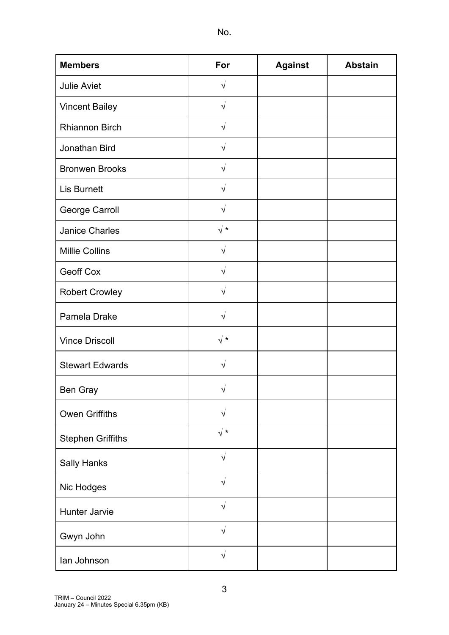| ٠<br>٩ |  |
|--------|--|
|        |  |

| <b>Members</b>           | For            | <b>Against</b> | <b>Abstain</b> |
|--------------------------|----------------|----------------|----------------|
| <b>Julie Aviet</b>       | $\sqrt{}$      |                |                |
| <b>Vincent Bailey</b>    | $\sqrt{}$      |                |                |
| <b>Rhiannon Birch</b>    | $\sqrt{2}$     |                |                |
| Jonathan Bird            | $\sqrt{}$      |                |                |
| <b>Bronwen Brooks</b>    | $\sqrt{}$      |                |                |
| <b>Lis Burnett</b>       | $\sqrt{}$      |                |                |
| George Carroll           | $\sqrt{}$      |                |                |
| <b>Janice Charles</b>    | $\sqrt{*}$     |                |                |
| <b>Millie Collins</b>    | $\sqrt{}$      |                |                |
| <b>Geoff Cox</b>         | $\sqrt{}$      |                |                |
| <b>Robert Crowley</b>    | $\sqrt{}$      |                |                |
| Pamela Drake             | $\sqrt{}$      |                |                |
| <b>Vince Driscoll</b>    | $\sqrt{\star}$ |                |                |
| <b>Stewart Edwards</b>   | $\sqrt{}$      |                |                |
| Ben Gray                 | $\sqrt{}$      |                |                |
| <b>Owen Griffiths</b>    | $\sqrt{}$      |                |                |
| <b>Stephen Griffiths</b> | $\sqrt{*}$     |                |                |
| <b>Sally Hanks</b>       | $\sqrt{}$      |                |                |
| Nic Hodges               | $\sqrt{}$      |                |                |
| Hunter Jarvie            | $\sqrt{ }$     |                |                |
| Gwyn John                | $\sqrt{}$      |                |                |
| lan Johnson              | $\sqrt{}$      |                |                |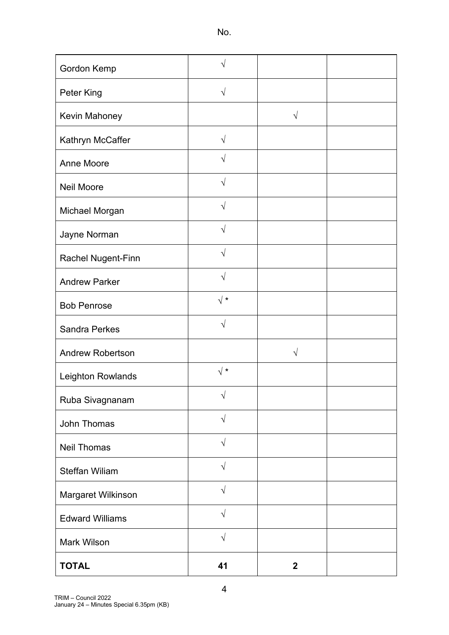No.

| Gordon Kemp             | V          |              |  |
|-------------------------|------------|--------------|--|
| Peter King              | $\sqrt{}$  |              |  |
| Kevin Mahoney           |            | $\sqrt{ }$   |  |
| Kathryn McCaffer        | $\sqrt{}$  |              |  |
| <b>Anne Moore</b>       | V          |              |  |
| <b>Neil Moore</b>       | $\sqrt{ }$ |              |  |
| Michael Morgan          | V          |              |  |
| Jayne Norman            | $\sqrt{}$  |              |  |
| Rachel Nugent-Finn      | $\sqrt{ }$ |              |  |
| <b>Andrew Parker</b>    | V          |              |  |
| <b>Bob Penrose</b>      | $\sqrt{*}$ |              |  |
| <b>Sandra Perkes</b>    | V          |              |  |
| <b>Andrew Robertson</b> |            | V            |  |
| Leighton Rowlands       | $\sqrt{*}$ |              |  |
| Ruba Sivagnanam         | $\sqrt{}$  |              |  |
| John Thomas             | $\sqrt{}$  |              |  |
| <b>Neil Thomas</b>      | $\sqrt{}$  |              |  |
| <b>Steffan Wiliam</b>   | $\sqrt{}$  |              |  |
| Margaret Wilkinson      | $\sqrt{ }$ |              |  |
| <b>Edward Williams</b>  | $\sqrt{}$  |              |  |
| <b>Mark Wilson</b>      | $\sqrt{}$  |              |  |
| <b>TOTAL</b>            | 41         | $\mathbf{2}$ |  |